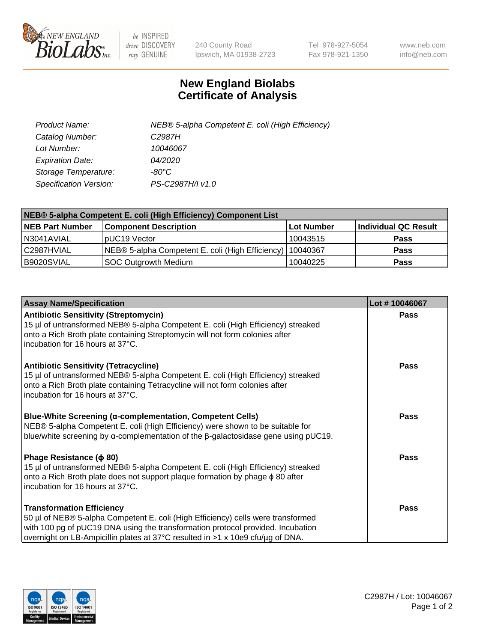

 $be$  INSPIRED drive DISCOVERY stay GENUINE

240 County Road Ipswich, MA 01938-2723 Tel 978-927-5054 Fax 978-921-1350 www.neb.com info@neb.com

## **New England Biolabs Certificate of Analysis**

| Product Name:           | NEB® 5-alpha Competent E. coli (High Efficiency) |
|-------------------------|--------------------------------------------------|
| Catalog Number:         | C <sub>2987</sub> H                              |
| Lot Number:             | 10046067                                         |
| <b>Expiration Date:</b> | <i>04/2020</i>                                   |
| Storage Temperature:    | -80°C                                            |
| Specification Version:  | PS-C2987H/I v1.0                                 |

| NEB® 5-alpha Competent E. coli (High Efficiency) Component List |                                                             |            |                      |  |
|-----------------------------------------------------------------|-------------------------------------------------------------|------------|----------------------|--|
| <b>NEB Part Number</b>                                          | <b>Component Description</b>                                | Lot Number | Individual QC Result |  |
| N3041AVIAL                                                      | pUC19 Vector                                                | 10043515   | Pass                 |  |
| C2987HVIAL                                                      | NEB® 5-alpha Competent E. coli (High Efficiency)   10040367 |            | <b>Pass</b>          |  |
| B9020SVIAL                                                      | <b>SOC Outgrowth Medium</b>                                 | 10040225   | <b>Pass</b>          |  |

| <b>Assay Name/Specification</b>                                                                                                                                                                                                                                                           | Lot #10046067 |
|-------------------------------------------------------------------------------------------------------------------------------------------------------------------------------------------------------------------------------------------------------------------------------------------|---------------|
| <b>Antibiotic Sensitivity (Streptomycin)</b><br>15 µl of untransformed NEB® 5-alpha Competent E. coli (High Efficiency) streaked<br>onto a Rich Broth plate containing Streptomycin will not form colonies after<br>incubation for 16 hours at 37°C.                                      | <b>Pass</b>   |
| <b>Antibiotic Sensitivity (Tetracycline)</b><br>15 µl of untransformed NEB® 5-alpha Competent E. coli (High Efficiency) streaked<br>onto a Rich Broth plate containing Tetracycline will not form colonies after<br>Incubation for 16 hours at 37°C.                                      | Pass          |
| <b>Blue-White Screening (α-complementation, Competent Cells)</b><br>NEB® 5-alpha Competent E. coli (High Efficiency) were shown to be suitable for<br>blue/white screening by $\alpha$ -complementation of the $\beta$ -galactosidase gene using pUC19.                                   | Pass          |
| Phage Resistance ( $\phi$ 80)<br>15 µl of untransformed NEB® 5-alpha Competent E. coli (High Efficiency) streaked<br>onto a Rich Broth plate does not support plaque formation by phage φ 80 after<br>Incubation for 16 hours at 37°C.                                                    | Pass          |
| <b>Transformation Efficiency</b><br>50 µl of NEB® 5-alpha Competent E. coli (High Efficiency) cells were transformed<br>with 100 pg of pUC19 DNA using the transformation protocol provided. Incubation<br>overnight on LB-Ampicillin plates at 37°C resulted in >1 x 10e9 cfu/μg of DNA. | Pass          |